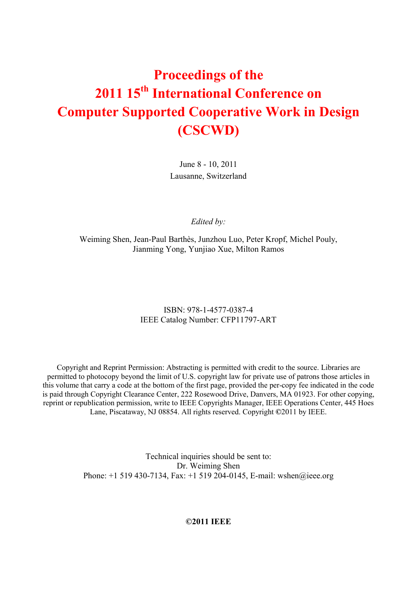# **Proceedings of the 2011 15th International Conference on Computer Supported Cooperative Work in Design (CSCWD)**

June 8 - 10, 2011 Lausanne, Switzerland

*Edited by:* 

Weiming Shen, Jean-Paul Barthès, Junzhou Luo, Peter Kropf, Michel Pouly, Jianming Yong, Yunjiao Xue, Milton Ramos

#### ISBN: 978-1-4577-0387-4 IEEE Catalog Number: CFP11797-ART

Copyright and Reprint Permission: Abstracting is permitted with credit to the source. Libraries are permitted to photocopy beyond the limit of U.S. copyright law for private use of patrons those articles in this volume that carry a code at the bottom of the first page, provided the per-copy fee indicated in the code is paid through Copyright Clearance Center, 222 Rosewood Drive, Danvers, MA 01923. For other copying, reprint or republication permission, write to IEEE Copyrights Manager, IEEE Operations Center, 445 Hoes Lane, Piscataway, NJ 08854. All rights reserved. Copyright **©**2011 by IEEE.

> Technical inquiries should be sent to: Dr. Weiming Shen Phone: +1 519 430-7134, Fax: +1 519 204-0145, E-mail: wshen@ieee.org

> > **©2011 IEEE**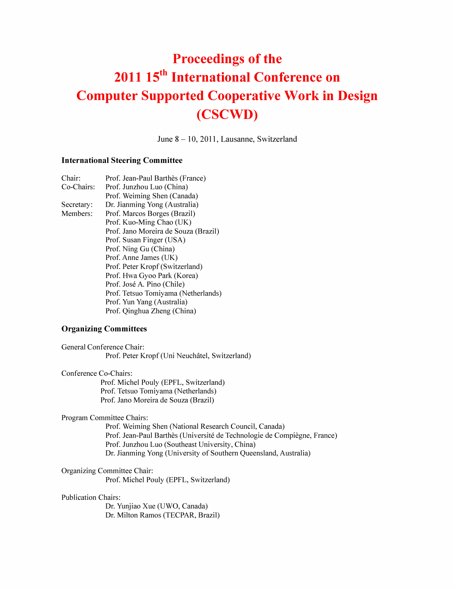# Proceedings of the 2011 15<sup>th</sup> International Conference on Computer Supported Cooperative Work in Design (CSCWD)

June 8 - 10, 2011, Lausanne, Switzerland

#### International Steering Committee

and the con-

| Chair:     | Prof. Jean-Paul Barthès (France)     |
|------------|--------------------------------------|
| Co-Chairs: | Prof. Junzhou Luo (China)            |
|            | Prof. Weiming Shen (Canada)          |
| Secretary: | Dr. Jianming Yong (Australia)        |
| Members:   | Prof. Marcos Borges (Brazil)         |
|            | Prof. Kuo-Ming Chao (UK)             |
|            | Prof. Jano Moreira de Souza (Brazil) |
|            | Prof. Susan Finger (USA)             |
|            | Prof. Ning Gu (China)                |
|            | Prof. Anne James (UK)                |
|            | Prof. Peter Kropf (Switzerland)      |
|            | Prof. Hwa Gyoo Park (Korea)          |
|            | Prof. José A. Pino (Chile)           |
|            | Prof. Tetsuo Tomiyama (Netherlands)  |
|            | Prof. Yun Yang (Australia)           |
|            | Prof. Qinghua Zheng (China)          |
|            |                                      |

and the contract of the state of the state of the state of the state of the state of the state of the state of

#### Organizing Committees

General Conference Chair: Prof. Peter Kropf (Uni Neuchatel, Switzerland)

Conference Co-Chairs: Prof. Michel Pouly (EPFL, Switzerland) Prof. Tetsuo Tomiyama (Netherlands) Prof. Jano Moreira de Souza (Brazil)

Program Committee Chairs:

Prof. Weiming Shen (National Research Council, Canada) Prof. Jean-Paul Barthes (Universite de Technologie de Compiegne, France) Prof. Junzhou Luo (Southeast University, China) Dr. Jianming Yong (University of Southern Queensland, Australia)

Organizing Committee Chair: Prof. Michel Pouly (EPFL, Switzerland)

#### Publication Chairs:

Dr. Yunjiao Xue (UWO, Canada) Dr. Milton Ramos (TECPAR, Brazil)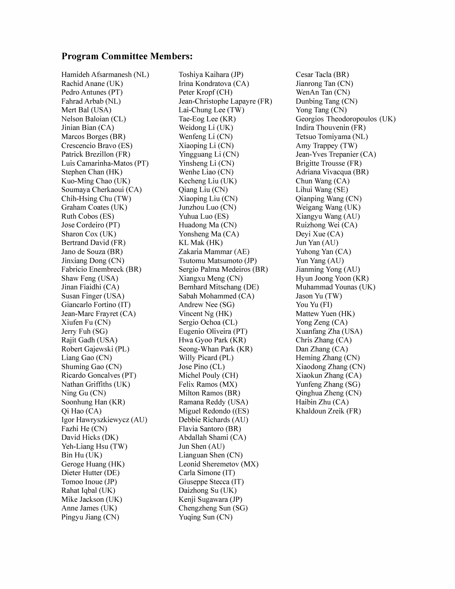#### Program Committee Members:

Hamideh Afsarmanesh (NL) Rachid Anane (UK) Pedro Antunes (PT) Fahrad Arbab (NL) Mert Bal (USA) Nelson Baloian (CL) Jinian Bian (CA) Marcos Borges (BR) Crescencio Bravo (ES) Patrick Brezillon (FR) Luis Camarinha-Matos (PT) Stephen Chan (HK) Kuo-Ming Chao (UK) Soumaya Cherkaoui (CA) Chih-Hsing Chu (TW) Graham Coates (UK) Ruth Cobos (ES) Jose Cordeiro (PT) Sharon Cox (UK) Bertrand David (FR) Jano de Souza (BR) Jinxiang Dong (CN) Fabricio Enembreck (BR) Shaw Feng (USA) Jinan Fiaidhi (CA) Susan Finger (USA) Giancarlo Fortino (IT) Jean-Marc Frayret (CA) Xiufen Fu (CN) Jerry Fuh (SG) Rajit Gadh (USA) Robert Gajewski (PL) Liang Gao (CN) Shuming Gao (CN) Ricardo Goncalves (PT) Nathan Griffiths (UK) Ning Gu (CN) Soonhung Han (KR) Qi Hao (CA) Igor Hawryszkiewycz (AU) Fazhi He (CN) David Hicks (DK) Yeh-Liang Hsu (TW) Bin Hu (UK) Geroge Huang (HK) Dieter Hutter (DE) Tomoo Inoue (JP) Rahat Iqbal (UK) Mike Jackson (UK) Anne James (UK) Pingyu Jiang (CN)

Toshiya Kaihara (JP) Irina Kondratova (CA) Peter Kropf (CH) Jean-Christophe Lapayre (FR) Lai-Chung Lee (TW) Tae-Eog Lee (KR) Weidong Li (UK) Wenfeng Li (CN) Xiaoping Li (CN) Yingguang Li (CN) Yinsheng Li (CN) Wenhe Liao (CN) Kecheng Liu (UK) Qiang Liu (CN) Xiaoping Liu (CN) Junzhou Luo (CN) Yuhua Luo (ES) Huadong Ma (CN) Yonsheng Ma (CA) KL Mak (HK) Zakaria Mammar (AE) Tsutomu Matsumoto (JP) Sergio Palma Medeiros (BR) Xiangxu Meng (CN) Bernhard Mitschang (DE) Sabah Mohammed (CA) Andrew Nee (SG) Vincent Ng (HK) Sergio Ochoa (CL) Eugenio Oliveira (PT) Hwa Gyoo Park (KR) Seong-Whan Park (KR) Willy Picard (PL) Jose Pino (CL) Michel Pouly (CH) Felix Ramos (MX) Milton Ramos (BR) Ramana Reddy (USA) Miguel Redondo ((ES) Debbie Richards (AU) Flavia Santoro (BR) Abdallah Shami (CA) Jun Shen (AU) Lianguan Shen (CN) Leonid Sheremetov (MX) Carla Simone (IT) Giuseppe Stecca (IT) Daizhong Su (UK) Kenji Sugawara (JP) Chengzheng Sun (SG) Yuqing Sun (CN)

Cesar Tacla (BR) Jianrong Tan (CN) WenAn Tan (CN) Dunbing Tang (CN) Yong Tang (CN) Georgios Theodoropoulos (UK) Indira Thouvenin (FR) Tetsuo Tomiyama (NL) Amy Trappey (TW) Jean-Yves Trepanier (CA) Brigitte Trousse (FR) Adriana Vivacqua (BR) Chun Wang (CA) Lihui Wang (SE) Qianping Wang (CN) Weigang Wang (UK) Xiangyu Wang (AU) Ruizhong Wei (CA) Deyi Xue (CA) Jun Yan (AU) Yuhong Yan (CA) Yun Yang (AU) Jianming Yong (AU) Hyun Joong Yoon (KR) Muhammad Younas (UK) Jason Yu (TW) You Yu (FI) Mattew Yuen (HK) Yong Zeng (CA) Xuanfang Zha (USA) Chris Zhang (CA) Dan Zhang (CA) Heming Zhang (CN) Xiaodong Zhang (CN) Xiaokun Zhang (CA) Yunfeng Zhang (SG) Qinghua Zheng (CN) Haibin Zhu (CA) Khaldoun Zreik (FR)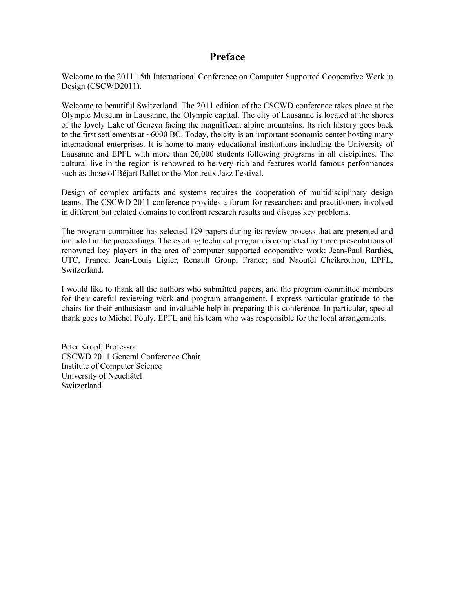### Preface

Welcome to the 2011 15th International Conference on Computer Supported Cooperative Work in Design (CSCWD2011).

Welcome to beautiful Switzerland. The 2011 edition of the CSCWD conference takes place at the Olympic Museum in Lausanne, the Olympic capital. The city of Lausanne is located at the shores of the lovely Lake of Geneva facing the magnificent alpine mountains. Its rich history goes back to the first settlements at  $\sim$  6000 BC. Today, the city is an important economic center hosting many international enterprises. It is home to many educational institutions including the University of Lausanne and EPFL with more than 20,000 students following programs in all disciplines. The cultural live in the region is renowned to be very rich and features world famous performances such as those of Béjart Ballet or the Montreux Jazz Festival.

Design of complex artifacts and systems requires the cooperation of multidisciplinary design teams. The CSCWD 2011 conference provides a forum for researchers and practitioners involved in different but related domains to confront research results and discuss key problems.

The program committee has selected 129 papers during its review process that are presented and included in the proceedings. The exciting technical program is completed by three presentations of renowned key players in the area of computer supported cooperative work: Jean-Paul Barthes, UTC, France; Jean-Louis Ligier, Renault Group, France; and Naoufel Cheikrouhou, EPFL, Switzerland.

I would like to thank all the authors who submitted papers, and the program committee members for their careful reviewing work and program arrangement. I express particular gratitude to the chairs for their enthusiasm and invaluable help in preparing this conference. In particular, special thank goes to Michel Pouly, EPFL and his team who was responsible for the local arrangements.

Peter Kropf, Professor CSCWD 2011 General Conference Chair Institute of Computer Science University of Neuchâtel Switzerland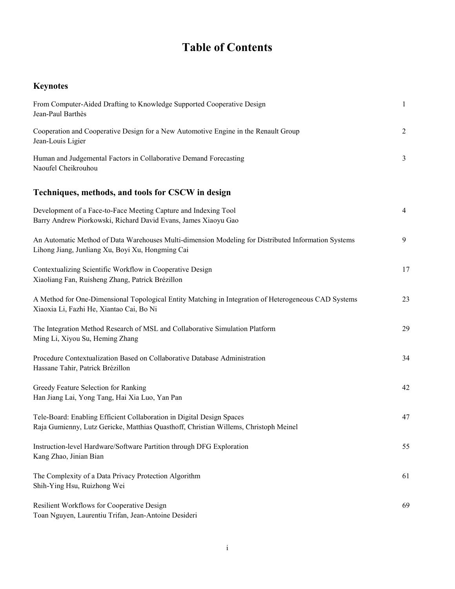## **Table of Contents**

| <b>Keynotes</b>                                                                                                                                               |                  |
|---------------------------------------------------------------------------------------------------------------------------------------------------------------|------------------|
| From Computer-Aided Drafting to Knowledge Supported Cooperative Design<br>Jean-Paul Barthès                                                                   | 1                |
| Cooperation and Cooperative Design for a New Automotive Engine in the Renault Group<br>Jean-Louis Ligier                                                      | 2                |
| Human and Judgemental Factors in Collaborative Demand Forecasting<br>Naoufel Cheikrouhou                                                                      | 3                |
| Techniques, methods, and tools for CSCW in design                                                                                                             |                  |
| Development of a Face-to-Face Meeting Capture and Indexing Tool<br>Barry Andrew Piorkowski, Richard David Evans, James Xiaoyu Gao                             | $\overline{4}$   |
| An Automatic Method of Data Warehouses Multi-dimension Modeling for Distributed Information Systems<br>Lihong Jiang, Junliang Xu, Boyi Xu, Hongming Cai       | $\boldsymbol{9}$ |
| Contextualizing Scientific Workflow in Cooperative Design<br>Xiaoliang Fan, Ruisheng Zhang, Patrick Brézillon                                                 | 17               |
| A Method for One-Dimensional Topological Entity Matching in Integration of Heterogeneous CAD Systems<br>Xiaoxia Li, Fazhi He, Xiantao Cai, Bo Ni              | 23               |
| The Integration Method Research of MSL and Collaborative Simulation Platform<br>Ming Li, Xiyou Su, Heming Zhang                                               | 29               |
| Procedure Contextualization Based on Collaborative Database Administration<br>Hassane Tahir, Patrick Brézillon                                                | 34               |
| Greedy Feature Selection for Ranking<br>Han Jiang Lai, Yong Tang, Hai Xia Luo, Yan Pan                                                                        | 42               |
| Tele-Board: Enabling Efficient Collaboration in Digital Design Spaces<br>Raja Gumienny, Lutz Gericke, Matthias Quasthoff, Christian Willems, Christoph Meinel | 47               |
| Instruction-level Hardware/Software Partition through DFG Exploration<br>Kang Zhao, Jinian Bian                                                               | 55               |
| The Complexity of a Data Privacy Protection Algorithm<br>Shih-Ying Hsu, Ruizhong Wei                                                                          | 61               |
| Resilient Workflows for Cooperative Design<br>Toan Nguyen, Laurentiu Trifan, Jean-Antoine Desideri                                                            | 69               |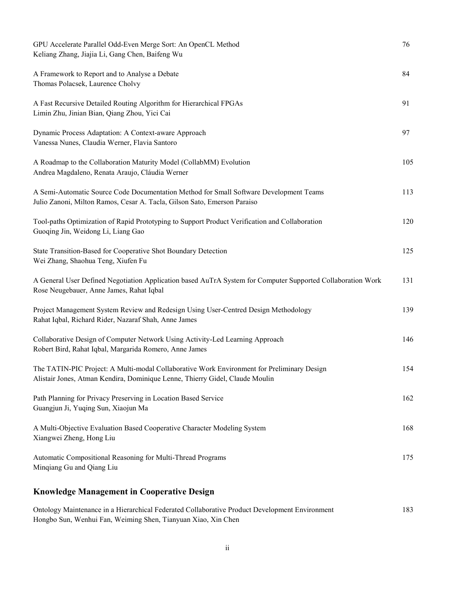| GPU Accelerate Parallel Odd-Even Merge Sort: An OpenCL Method<br>Keliang Zhang, Jiajia Li, Gang Chen, Baifeng Wu                                                           | 76  |
|----------------------------------------------------------------------------------------------------------------------------------------------------------------------------|-----|
| A Framework to Report and to Analyse a Debate<br>Thomas Polacsek, Laurence Cholvy                                                                                          | 84  |
| A Fast Recursive Detailed Routing Algorithm for Hierarchical FPGAs<br>Limin Zhu, Jinian Bian, Qiang Zhou, Yici Cai                                                         | 91  |
| Dynamic Process Adaptation: A Context-aware Approach<br>Vanessa Nunes, Claudia Werner, Flavia Santoro                                                                      | 97  |
| A Roadmap to the Collaboration Maturity Model (CollabMM) Evolution<br>Andrea Magdaleno, Renata Araujo, Cláudia Werner                                                      | 105 |
| A Semi-Automatic Source Code Documentation Method for Small Software Development Teams<br>Julio Zanoni, Milton Ramos, Cesar A. Tacla, Gilson Sato, Emerson Paraiso         | 113 |
| Tool-paths Optimization of Rapid Prototyping to Support Product Verification and Collaboration<br>Guoqing Jin, Weidong Li, Liang Gao                                       | 120 |
| State Transition-Based for Cooperative Shot Boundary Detection<br>Wei Zhang, Shaohua Teng, Xiufen Fu                                                                       | 125 |
| A General User Defined Negotiation Application based AuTrA System for Computer Supported Collaboration Work<br>Rose Neugebauer, Anne James, Rahat Iqbal                    | 131 |
| Project Management System Review and Redesign Using User-Centred Design Methodology<br>Rahat Iqbal, Richard Rider, Nazaraf Shah, Anne James                                | 139 |
| Collaborative Design of Computer Network Using Activity-Led Learning Approach<br>Robert Bird, Rahat Iqbal, Margarida Romero, Anne James                                    | 146 |
| The TATIN-PIC Project: A Multi-modal Collaborative Work Environment for Preliminary Design<br>Alistair Jones, Atman Kendira, Dominique Lenne, Thierry Gidel, Claude Moulin | 154 |
| Path Planning for Privacy Preserving in Location Based Service<br>Guangjun Ji, Yuqing Sun, Xiaojun Ma                                                                      | 162 |
| A Multi-Objective Evaluation Based Cooperative Character Modeling System<br>Xiangwei Zheng, Hong Liu                                                                       | 168 |
| Automatic Compositional Reasoning for Multi-Thread Programs<br>Minqiang Gu and Qiang Liu                                                                                   | 175 |
| <b>Knowledge Management in Cooperative Design</b>                                                                                                                          |     |

Ontology Maintenance in a Hierarchical Federated Collaborative Product Development Environment 183 Hongbo Sun, Wenhui Fan, Weiming Shen, Tianyuan Xiao, Xin Chen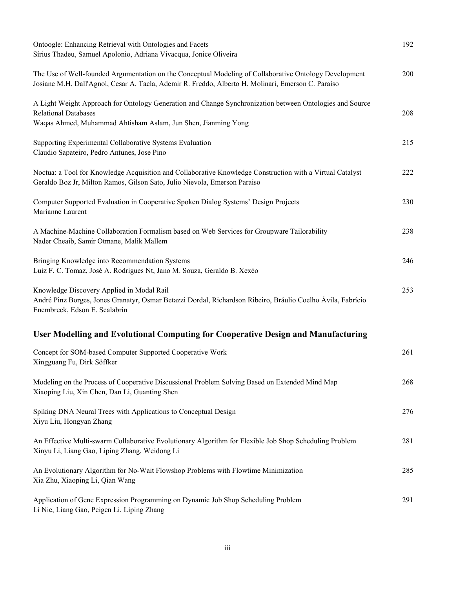| Ontoogle: Enhancing Retrieval with Ontologies and Facets<br>Sírius Thadeu, Samuel Apolonio, Adriana Vivacqua, Jonice Oliveira                                                                                |     |
|--------------------------------------------------------------------------------------------------------------------------------------------------------------------------------------------------------------|-----|
| The Use of Well-founded Argumentation on the Conceptual Modeling of Collaborative Ontology Development<br>Josiane M.H. Dall'Agnol, Cesar A. Tacla, Ademir R. Freddo, Alberto H. Molinari, Emerson C. Paraíso | 200 |
| A Light Weight Approach for Ontology Generation and Change Synchronization between Ontologies and Source<br><b>Relational Databases</b><br>Waqas Ahmed, Muhammad Ahtisham Aslam, Jun Shen, Jianming Yong     | 208 |
| Supporting Experimental Collaborative Systems Evaluation<br>Claudio Sapateiro, Pedro Antunes, Jose Pino                                                                                                      | 215 |
| Noctua: a Tool for Knowledge Acquisition and Collaborative Knowledge Construction with a Virtual Catalyst<br>Geraldo Boz Jr, Milton Ramos, Gilson Sato, Julio Nievola, Emerson Paraiso                       | 222 |
| Computer Supported Evaluation in Cooperative Spoken Dialog Systems' Design Projects<br>Marianne Laurent                                                                                                      | 230 |
| A Machine-Machine Collaboration Formalism based on Web Services for Groupware Tailorability<br>Nader Cheaib, Samir Otmane, Malik Mallem                                                                      | 238 |
| Bringing Knowledge into Recommendation Systems<br>Luiz F. C. Tomaz, José A. Rodrigues Nt, Jano M. Souza, Geraldo B. Xexéo                                                                                    | 246 |
| Knowledge Discovery Applied in Modal Rail<br>André Pinz Borges, Jones Granatyr, Osmar Betazzi Dordal, Richardson Ribeiro, Bráulio Coelho Ávila, Fabrício<br>Enembreck, Edson E. Scalabrin                    | 253 |
| User Modelling and Evolutional Computing for Cooperative Design and Manufacturing                                                                                                                            |     |
| Concept for SOM-based Computer Supported Cooperative Work<br>Xingguang Fu, Dirk Söffker                                                                                                                      | 261 |
| Modeling on the Process of Cooperative Discussional Problem Solving Based on Extended Mind Map<br>Xiaoping Liu, Xin Chen, Dan Li, Guanting Shen                                                              | 268 |
| Spiking DNA Neural Trees with Applications to Conceptual Design<br>Xiyu Liu, Hongyan Zhang                                                                                                                   | 276 |
| An Effective Multi-swarm Collaborative Evolutionary Algorithm for Flexible Job Shop Scheduling Problem<br>Xinyu Li, Liang Gao, Liping Zhang, Weidong Li                                                      | 281 |
| An Evolutionary Algorithm for No-Wait Flowshop Problems with Flowtime Minimization<br>Xia Zhu, Xiaoping Li, Qian Wang                                                                                        | 285 |
| Application of Gene Expression Programming on Dynamic Job Shop Scheduling Problem<br>Li Nie, Liang Gao, Peigen Li, Liping Zhang                                                                              | 291 |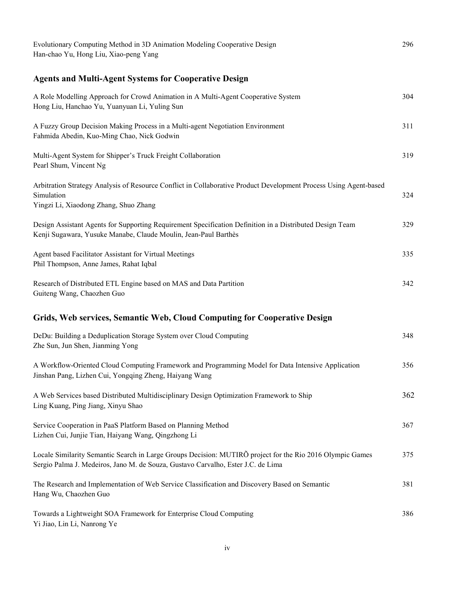| Evolutionary Computing Method in 3D Animation Modeling Cooperative Design<br>Han-chao Yu, Hong Liu, Xiao-peng Yang                                                                            | 296 |
|-----------------------------------------------------------------------------------------------------------------------------------------------------------------------------------------------|-----|
| <b>Agents and Multi-Agent Systems for Cooperative Design</b>                                                                                                                                  |     |
| A Role Modelling Approach for Crowd Animation in A Multi-Agent Cooperative System<br>Hong Liu, Hanchao Yu, Yuanyuan Li, Yuling Sun                                                            | 304 |
| A Fuzzy Group Decision Making Process in a Multi-agent Negotiation Environment<br>Fahmida Abedin, Kuo-Ming Chao, Nick Godwin                                                                  | 311 |
| Multi-Agent System for Shipper's Truck Freight Collaboration<br>Pearl Shum, Vincent Ng                                                                                                        | 319 |
| Arbitration Strategy Analysis of Resource Conflict in Collaborative Product Development Process Using Agent-based<br>Simulation<br>Yingzi Li, Xiaodong Zhang, Shuo Zhang                      | 324 |
| Design Assistant Agents for Supporting Requirement Specification Definition in a Distributed Design Team<br>Kenji Sugawara, Yusuke Manabe, Claude Moulin, Jean-Paul Barthès                   | 329 |
| Agent based Facilitator Assistant for Virtual Meetings<br>Phil Thompson, Anne James, Rahat Iqbal                                                                                              | 335 |
| Research of Distributed ETL Engine based on MAS and Data Partition<br>Guiteng Wang, Chaozhen Guo                                                                                              | 342 |
| Grids, Web services, Semantic Web, Cloud Computing for Cooperative Design                                                                                                                     |     |
| DeDu: Building a Deduplication Storage System over Cloud Computing<br>Zhe Sun, Jun Shen, Jianming Yong                                                                                        | 348 |
| A Workflow-Oriented Cloud Computing Framework and Programming Model for Data Intensive Application<br>Jinshan Pang, Lizhen Cui, Yongqing Zheng, Haiyang Wang                                  | 356 |
| A Web Services based Distributed Multidisciplinary Design Optimization Framework to Ship<br>Ling Kuang, Ping Jiang, Xinyu Shao                                                                | 362 |
| Service Cooperation in PaaS Platform Based on Planning Method<br>Lizhen Cui, Junjie Tian, Haiyang Wang, Qingzhong Li                                                                          | 367 |
| Locale Similarity Semantic Search in Large Groups Decision: MUTIRO project for the Rio 2016 Olympic Games<br>Sergio Palma J. Medeiros, Jano M. de Souza, Gustavo Carvalho, Ester J.C. de Lima | 375 |
| The Research and Implementation of Web Service Classification and Discovery Based on Semantic<br>Hang Wu, Chaozhen Guo                                                                        | 381 |
| Towards a Lightweight SOA Framework for Enterprise Cloud Computing<br>Yi Jiao, Lin Li, Nanrong Ye                                                                                             | 386 |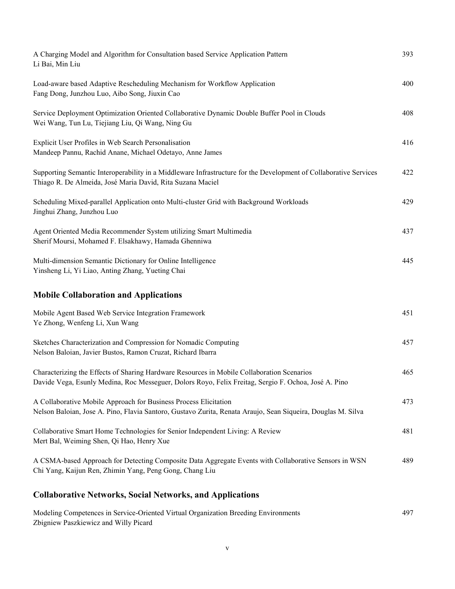| A Charging Model and Algorithm for Consultation based Service Application Pattern<br>Li Bai, Min Liu                                                                                               | 393 |
|----------------------------------------------------------------------------------------------------------------------------------------------------------------------------------------------------|-----|
| Load-aware based Adaptive Rescheduling Mechanism for Workflow Application<br>Fang Dong, Junzhou Luo, Aibo Song, Jiuxin Cao                                                                         | 400 |
| Service Deployment Optimization Oriented Collaborative Dynamic Double Buffer Pool in Clouds<br>Wei Wang, Tun Lu, Tiejiang Liu, Qi Wang, Ning Gu                                                    | 408 |
| Explicit User Profiles in Web Search Personalisation<br>Mandeep Pannu, Rachid Anane, Michael Odetayo, Anne James                                                                                   | 416 |
| Supporting Semantic Interoperability in a Middleware Infrastructure for the Development of Collaborative Services<br>Thiago R. De Almeida, José Maria David, Rita Suzana Maciel                    | 422 |
| Scheduling Mixed-parallel Application onto Multi-cluster Grid with Background Workloads<br>Jinghui Zhang, Junzhou Luo                                                                              | 429 |
| Agent Oriented Media Recommender System utilizing Smart Multimedia<br>Sherif Moursi, Mohamed F. Elsakhawy, Hamada Ghenniwa                                                                         | 437 |
| Multi-dimension Semantic Dictionary for Online Intelligence<br>Yinsheng Li, Yi Liao, Anting Zhang, Yueting Chai                                                                                    | 445 |
| <b>Mobile Collaboration and Applications</b>                                                                                                                                                       |     |
| Mobile Agent Based Web Service Integration Framework<br>Ye Zhong, Wenfeng Li, Xun Wang                                                                                                             | 451 |
| Sketches Characterization and Compression for Nomadic Computing<br>Nelson Baloian, Javier Bustos, Ramon Cruzat, Richard Ibarra                                                                     | 457 |
| Characterizing the Effects of Sharing Hardware Resources in Mobile Collaboration Scenarios<br>Davide Vega, Esunly Medina, Roc Messeguer, Dolors Royo, Felix Freitag, Sergio F. Ochoa, José A. Pino | 465 |
| A Collaborative Mobile Approach for Business Process Elicitation<br>Nelson Baloian, Jose A. Pino, Flavia Santoro, Gustavo Zurita, Renata Araujo, Sean Siqueira, Douglas M. Silva                   | 473 |
| Collaborative Smart Home Technologies for Senior Independent Living: A Review<br>Mert Bal, Weiming Shen, Qi Hao, Henry Xue                                                                         | 481 |
| A CSMA-based Approach for Detecting Composite Data Aggregate Events with Collaborative Sensors in WSN<br>Chi Yang, Kaijun Ren, Zhimin Yang, Peng Gong, Chang Liu                                   | 489 |

## **Collaborative Networks, Social Networks, and Applications**

| Modeling Competences in Service-Oriented Virtual Organization Breeding Environments | 497 |
|-------------------------------------------------------------------------------------|-----|
| Zbigniew Paszkiewicz and Willy Picard                                               |     |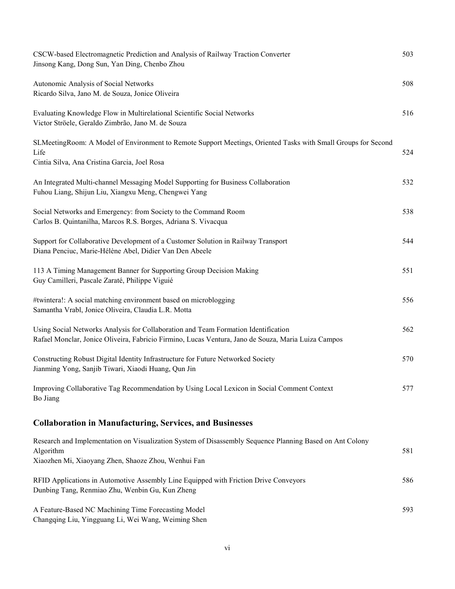| CSCW-based Electromagnetic Prediction and Analysis of Railway Traction Converter<br>Jinsong Kang, Dong Sun, Yan Ding, Chenbo Zhou                                                         | 503 |
|-------------------------------------------------------------------------------------------------------------------------------------------------------------------------------------------|-----|
| Autonomic Analysis of Social Networks<br>Ricardo Silva, Jano M. de Souza, Jonice Oliveira                                                                                                 | 508 |
| Evaluating Knowledge Flow in Multirelational Scientific Social Networks<br>Victor Ströele, Geraldo Zimbrão, Jano M. de Souza                                                              | 516 |
| SLMeetingRoom: A Model of Environment to Remote Support Meetings, Oriented Tasks with Small Groups for Second<br>Life<br>Cintia Silva, Ana Cristina Garcia, Joel Rosa                     | 524 |
| An Integrated Multi-channel Messaging Model Supporting for Business Collaboration<br>Fuhou Liang, Shijun Liu, Xiangxu Meng, Chengwei Yang                                                 | 532 |
| Social Networks and Emergency: from Society to the Command Room<br>Carlos B. Quintanilha, Marcos R.S. Borges, Adriana S. Vivacqua                                                         | 538 |
| Support for Collaborative Development of a Customer Solution in Railway Transport<br>Diana Penciuc, Marie-Hélène Abel, Didier Van Den Abeele                                              | 544 |
| 113 A Timing Management Banner for Supporting Group Decision Making<br>Guy Camilleri, Pascale Zaraté, Philippe Viguié                                                                     | 551 |
| #twintera!: A social matching environment based on microblogging<br>Samantha Vrabl, Jonice Oliveira, Claudia L.R. Motta                                                                   | 556 |
| Using Social Networks Analysis for Collaboration and Team Formation Identification<br>Rafael Monclar, Jonice Oliveira, Fabricio Firmino, Lucas Ventura, Jano de Souza, Maria Luiza Campos | 562 |
| Constructing Robust Digital Identity Infrastructure for Future Networked Society<br>Jianming Yong, Sanjib Tiwari, Xiaodi Huang, Qun Jin                                                   | 570 |
| Improving Collaborative Tag Recommendation by Using Local Lexicon in Social Comment Context<br>Bo Jiang                                                                                   | 577 |
| <b>Collaboration in Manufacturing, Services, and Businesses</b>                                                                                                                           |     |
| Research and Implementation on Visualization System of Disassembly Sequence Planning Based on Ant Colony<br>Algorithm<br>Xiaozhen Mi, Xiaoyang Zhen, Shaoze Zhou, Wenhui Fan              | 581 |
| RFID Applications in Automotive Assembly Line Equipped with Friction Drive Conveyors<br>Dunbing Tang, Renmiao Zhu, Wenbin Gu, Kun Zheng                                                   | 586 |
| A Feature-Based NC Machining Time Forecasting Model<br>Changqing Liu, Yingguang Li, Wei Wang, Weiming Shen                                                                                | 593 |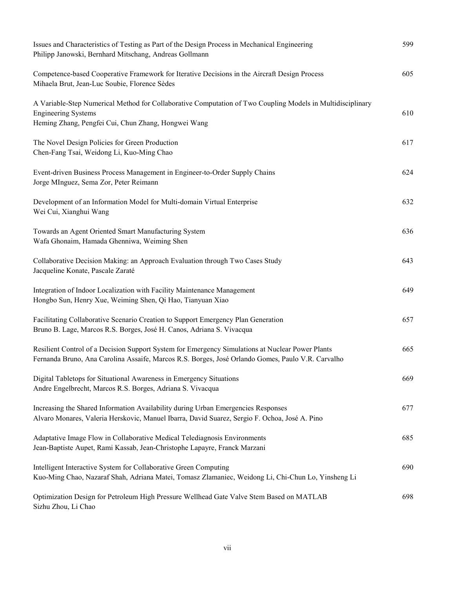| Issues and Characteristics of Testing as Part of the Design Process in Mechanical Engineering<br>Philipp Janowski, Bernhard Mitschang, Andreas Gollmann                                               | 599 |
|-------------------------------------------------------------------------------------------------------------------------------------------------------------------------------------------------------|-----|
| Competence-based Cooperative Framework for Iterative Decisions in the Aircraft Design Process<br>Mihaela Brut, Jean-Luc Soubie, Florence Sèdes                                                        | 605 |
| A Variable-Step Numerical Method for Collaborative Computation of Two Coupling Models in Multidisciplinary<br><b>Engineering Systems</b><br>Heming Zhang, Pengfei Cui, Chun Zhang, Hongwei Wang       | 610 |
| The Novel Design Policies for Green Production<br>Chen-Fang Tsai, Weidong Li, Kuo-Ming Chao                                                                                                           | 617 |
| Event-driven Business Process Management in Engineer-to-Order Supply Chains<br>Jorge MInguez, Sema Zor, Peter Reimann                                                                                 | 624 |
| Development of an Information Model for Multi-domain Virtual Enterprise<br>Wei Cui, Xianghui Wang                                                                                                     | 632 |
| Towards an Agent Oriented Smart Manufacturing System<br>Wafa Ghonaim, Hamada Ghenniwa, Weiming Shen                                                                                                   | 636 |
| Collaborative Decision Making: an Approach Evaluation through Two Cases Study<br>Jacqueline Konate, Pascale Zaraté                                                                                    | 643 |
| Integration of Indoor Localization with Facility Maintenance Management<br>Hongbo Sun, Henry Xue, Weiming Shen, Qi Hao, Tianyuan Xiao                                                                 | 649 |
| Facilitating Collaborative Scenario Creation to Support Emergency Plan Generation<br>Bruno B. Lage, Marcos R.S. Borges, José H. Canos, Adriana S. Vivacqua                                            | 657 |
| Resilient Control of a Decision Support System for Emergency Simulations at Nuclear Power Plants<br>Fernanda Bruno, Ana Carolina Assaife, Marcos R.S. Borges, José Orlando Gomes, Paulo V.R. Carvalho | 665 |
| Digital Tabletops for Situational Awareness in Emergency Situations<br>Andre Engelbrecht, Marcos R.S. Borges, Adriana S. Vivacqua                                                                     | 669 |
| Increasing the Shared Information Availability during Urban Emergencies Responses<br>Alvaro Monares, Valeria Herskovic, Manuel Ibarra, David Suarez, Sergio F. Ochoa, José A. Pino                    | 677 |
| Adaptative Image Flow in Collaborative Medical Telediagnosis Environments<br>Jean-Baptiste Aupet, Rami Kassab, Jean-Christophe Lapayre, Franck Marzani                                                | 685 |
| Intelligent Interactive System for Collaborative Green Computing<br>Kuo-Ming Chao, Nazaraf Shah, Adriana Matei, Tomasz Zlamaniec, Weidong Li, Chi-Chun Lo, Yinsheng Li                                | 690 |
| Optimization Design for Petroleum High Pressure Wellhead Gate Valve Stem Based on MATLAB<br>Sizhu Zhou, Li Chao                                                                                       | 698 |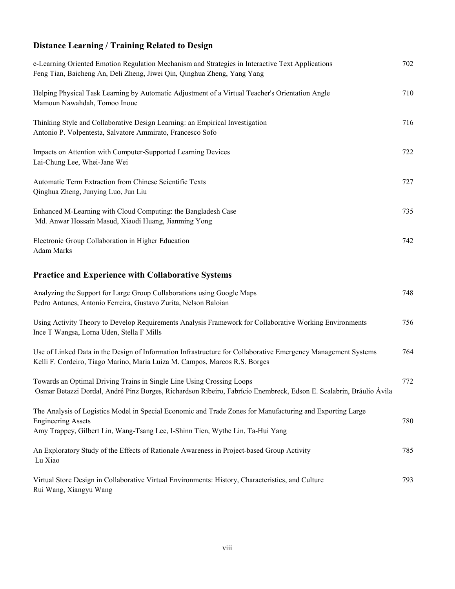## **Distance Learning / Training Related to Design**

| e-Learning Oriented Emotion Regulation Mechanism and Strategies in Interactive Text Applications<br>Feng Tian, Baicheng An, Deli Zheng, Jiwei Qin, Qinghua Zheng, Yang Yang                                              | 702 |
|--------------------------------------------------------------------------------------------------------------------------------------------------------------------------------------------------------------------------|-----|
| Helping Physical Task Learning by Automatic Adjustment of a Virtual Teacher's Orientation Angle<br>Mamoun Nawahdah, Tomoo Inoue                                                                                          | 710 |
| Thinking Style and Collaborative Design Learning: an Empirical Investigation<br>Antonio P. Volpentesta, Salvatore Ammirato, Francesco Sofo                                                                               | 716 |
| Impacts on Attention with Computer-Supported Learning Devices<br>Lai-Chung Lee, Whei-Jane Wei                                                                                                                            | 722 |
| Automatic Term Extraction from Chinese Scientific Texts<br>Qinghua Zheng, Junying Luo, Jun Liu                                                                                                                           | 727 |
| Enhanced M-Learning with Cloud Computing: the Bangladesh Case<br>Md. Anwar Hossain Masud, Xiaodi Huang, Jianming Yong                                                                                                    | 735 |
| Electronic Group Collaboration in Higher Education<br><b>Adam Marks</b>                                                                                                                                                  | 742 |
| <b>Practice and Experience with Collaborative Systems</b>                                                                                                                                                                |     |
| Analyzing the Support for Large Group Collaborations using Google Maps<br>Pedro Antunes, Antonio Ferreira, Gustavo Zurita, Nelson Baloian                                                                                | 748 |
| Using Activity Theory to Develop Requirements Analysis Framework for Collaborative Working Environments<br>Ince T Wangsa, Lorna Uden, Stella F Mills                                                                     | 756 |
| Use of Linked Data in the Design of Information Infrastructure for Collaborative Emergency Management Systems<br>Kelli F. Cordeiro, Tiago Marino, Maria Luiza M. Campos, Marcos R.S. Borges                              | 764 |
| Towards an Optimal Driving Trains in Single Line Using Crossing Loops<br>Osmar Betazzi Dordal, André Pinz Borges, Richardson Ribeiro, Fabrício Enembreck, Edson E. Scalabrin, Bráulio Ávila                              | 772 |
| The Analysis of Logistics Model in Special Economic and Trade Zones for Manufacturing and Exporting Large<br><b>Engineering Assets</b><br>Amy Trappey, Gilbert Lin, Wang-Tsang Lee, I-Shinn Tien, Wythe Lin, Ta-Hui Yang | 780 |
| An Exploratory Study of the Effects of Rationale Awareness in Project-based Group Activity<br>Lu Xiao                                                                                                                    | 785 |
| Virtual Store Design in Collaborative Virtual Environments: History, Characteristics, and Culture<br>Rui Wang, Xiangyu Wang                                                                                              | 793 |